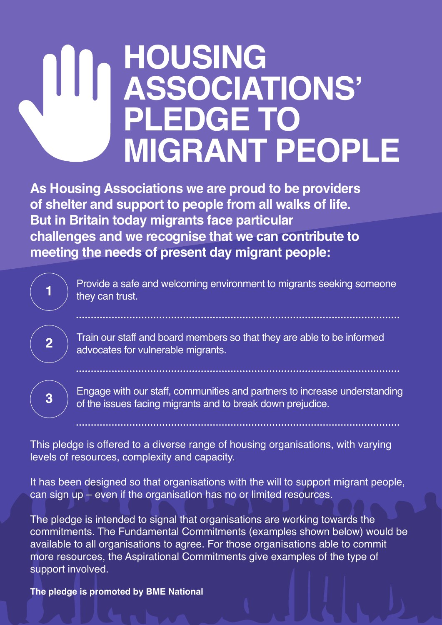## **HOUSING ASSOCIATIONS' PLEDGE TO MIGRANT PEOPLE**

**As Housing Associations we are proud to be providers of shelter and support to people from all walks of life. But in Britain today migrants face particular challenges and we recognise that we can contribute to meeting the needs of present day migrant people:**

> Provide a safe and welcoming environment to migrants seeking someone they can trust.

Train our staff and board members so that they are able to be informed advocates for vulnerable migrants.

Engage with our staff, communities and partners to increase understanding of the issues facing migrants and to break down prejudice.

This pledge is offered to a diverse range of housing organisations, with varying levels of resources, complexity and capacity.

It has been designed so that organisations with the will to support migrant people, can sign up – even if the organisation has no or limited resources.

The pledge is intended to signal that organisations are working towards the commitments. The Fundamental Commitments (examples shown below) would be available to all organisations to agree. For those organisations able to commit more resources, the Aspirational Commitments give examples of the type of support involved.

**The pledge is promoted by BME National**

**1**

**2**

**3**